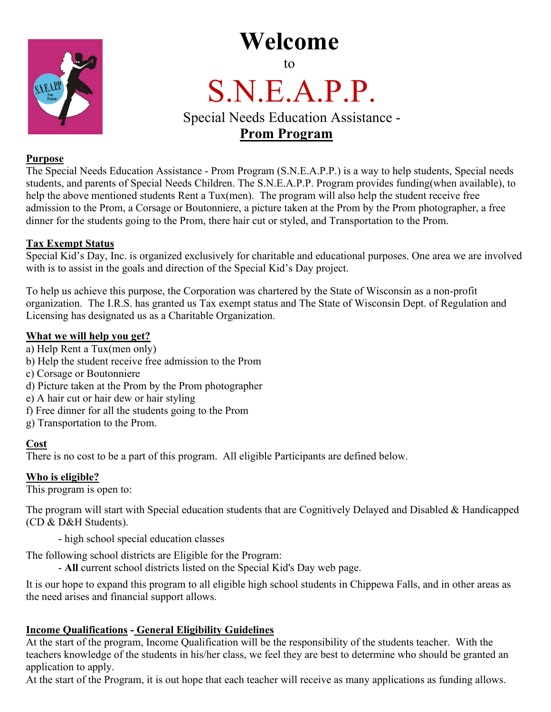## **Welcome** to



# S.N.E.A.P.P.<br>Special Needs Education Assistance -

### **Prom Program**

#### **Purpose**

The Special Needs Education Assistance - Prom Program (S.N.E.A.P.P.) is a way to help students, Special needs students, and parents of Special Needs Children. The S.N.E.A.P.P. Program provides funding(when available), to help the above mentioned students Rent a Tux(men). The program will also help the student receive free admission to the Prom, a Corsage or Boutonniere, a picture taken at the Prom by the Prom photographer, a free dinner for the students going to the Prom, there hair cut or styled, and Transportation to the Prom.

#### **Tax Exempt Status**

Special Kid's Day, Inc. is organized exclusively for charitable and educational purposes. One area we are involved with is to assist in the goals and direction of the Special Kid's Day project.

To help us achieve this purpose, the Corporation was chartered by the State of Wisconsin as a non-profit organization. The I.R.S. has granted us Tax exempt status and The State of Wisconsin Dept. of Regulation and Licensing has designated us as a Charitable Organization.

#### **What we will help you get?**

- a) Help Rent a Tux(men only)
- b) Help the student receive free admission to the Prom
- c) Corsage or Boutonniere
- d) Picture taken at the Prom by the Prom photographer
- e) A hair cut or hair dew or hair styling
- f) Free dinner for all the students going to the Prom
- g) Transportation to the Prom.

#### **Cost**

There is no cost to be a part of this program. All eligible Participants are defined below.

#### **Who is eligible?**

This program is open to:

The program will start with Special education students that are Cognitively Delayed and Disabled & Handicapped (CD & D&H Students).

- high school special education classes

The following school districts are Eligible for the Program:

- **All** current school districts listed on the Special Kid's Day web page.

It is our hope to expand this program to all eligible high school students in Chippewa Falls, and in other areas as the need arises and financial support allows.

#### **Income Qualifications - General Eligibility Guidelines**

At the start of the program, Income Qualification will be the responsibility of the students teacher. With the teachers knowledge of the students in his/her class, we feel they are best to determine who should be granted an application to apply.

At the start of the Program, it is out hope that each teacher will receive as many applications as funding allows.